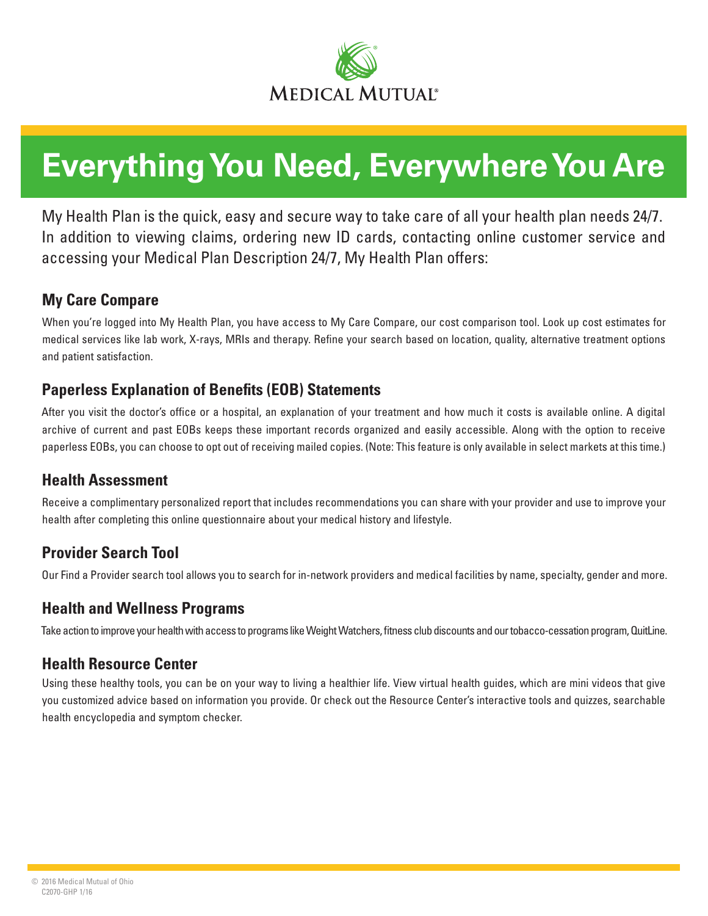

# **Everything You Need, Everywhere You Are**

My Health Plan is the quick, easy and secure way to take care of all your health plan needs 24/7. In addition to viewing claims, ordering new ID cards, contacting online customer service and accessing your Medical Plan Description 24/7, My Health Plan offers:

## **My Care Compare**

When you're logged into My Health Plan, you have access to My Care Compare, our cost comparison tool. Look up cost estimates for medical services like lab work, X-rays, MRIs and therapy. Refine your search based on location, quality, alternative treatment options and patient satisfaction.

### **Paperless Explanation of Benefits (EOB) Statements**

After you visit the doctor's office or a hospital, an explanation of your treatment and how much it costs is available online. A digital archive of current and past EOBs keeps these important records organized and easily accessible. Along with the option to receive paperless EOBs, you can choose to opt out of receiving mailed copies. (Note: This feature is only available in select markets at this time.)

### **Health Assessment**

Receive a complimentary personalized report that includes recommendations you can share with your provider and use to improve your health after completing this online questionnaire about your medical history and lifestyle.

## **Provider Search Tool**

Our Find a Provider search tool allows you to search for in-network providers and medical facilities by name, specialty, gender and more.

### **Health and Wellness Programs**

Take action to improve your health with access to programs like Weight Watchers, fitness club discounts and our tobacco-cessation program, QuitLine.

### **Health Resource Center**

Using these healthy tools, you can be on your way to living a healthier life. View virtual health guides, which are mini videos that give you customized advice based on information you provide. Or check out the Resource Center's interactive tools and quizzes, searchable health encyclopedia and symptom checker.